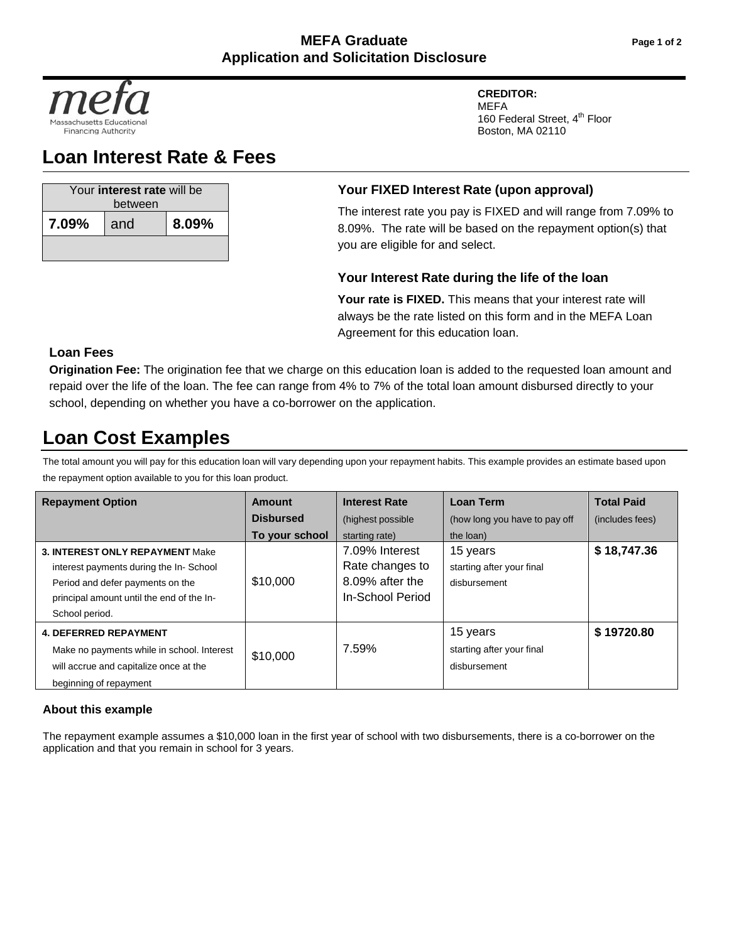

# **Loan Interest Rate & Fees**

| Your interest rate will be<br>between |     |       |  |  |
|---------------------------------------|-----|-------|--|--|
| 7.09%                                 | and | 8.09% |  |  |
|                                       |     |       |  |  |

# **Your FIXED Interest Rate (upon approval)**

The interest rate you pay is FIXED and will range from 7.09% to 8.09%. The rate will be based on the repayment option(s) that you are eligible for and select.

**CREDITOR:** MEFA

Boston, MA 02110

160 Federal Street, 4<sup>th</sup> Floor

### **Your Interest Rate during the life of the loan**

Your rate is FIXED. This means that your interest rate will always be the rate listed on this form and in the MEFA Loan Agreement for this education loan.

## **Loan Fees**

**Origination Fee:** The origination fee that we charge on this education loan is added to the requested loan amount and repaid over the life of the loan. The fee can range from 4% to 7% of the total loan amount disbursed directly to your school, depending on whether you have a co-borrower on the application.

# **Loan Cost Examples**

The total amount you will pay for this education loan will vary depending upon your repayment habits. This example provides an estimate based upon the repayment option available to you for this loan product.

| <b>Repayment Option</b>                                                                                                                                                             | Amount           | <b>Interest Rate</b>                                                     | <b>Loan Term</b>                                      | <b>Total Paid</b> |
|-------------------------------------------------------------------------------------------------------------------------------------------------------------------------------------|------------------|--------------------------------------------------------------------------|-------------------------------------------------------|-------------------|
|                                                                                                                                                                                     | <b>Disbursed</b> | (highest possible)                                                       | (how long you have to pay off                         | (includes fees)   |
|                                                                                                                                                                                     | To your school   | starting rate)                                                           | the loan)                                             |                   |
| <b>3. INTEREST ONLY REPAYMENT Make</b><br>interest payments during the In-School<br>Period and defer payments on the<br>principal amount until the end of the In-<br>School period. | \$10,000         | 7.09% Interest<br>Rate changes to<br>8.09% after the<br>In-School Period | 15 years<br>starting after your final<br>disbursement | \$18,747.36       |
| <b>4. DEFERRED REPAYMENT</b><br>Make no payments while in school. Interest<br>will accrue and capitalize once at the<br>beginning of repayment                                      | \$10,000         | 7.59%                                                                    | 15 years<br>starting after your final<br>disbursement | \$19720.80        |

### **About this example**

The repayment example assumes a \$10,000 loan in the first year of school with two disbursements, there is a co-borrower on the application and that you remain in school for 3 years.